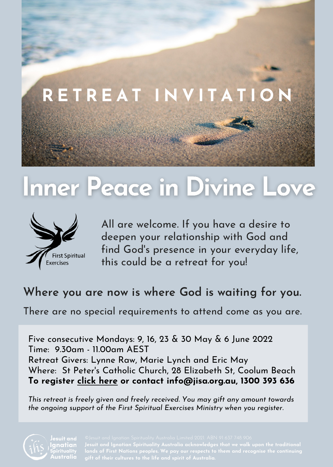

# Inner Peace in Divine Love



All are welcome. If you have a desire to deepen your relationship with God and find God' s presence in your everyday life, this could be a retreat for you!

## **Where you are now is where God is waiting for you.**

There are no special requirements to attend come as you are.

Five consecutive Mondays: 9, 16, 23 & 30 May & 6 June 2022 Time: 9.30am - 11.00am AEST Retreat Givers: Lynne Raw, Marie Lynch and Eric May Where: St Peter's Catholic Church, 28 Elizabeth St, Coolum Beach **To register click [here](https://pch.venueregistrations.net/fse-inner-peace-in-divine-love-coolum) or contact info@jisa.org.au, 1300 393 636**

*This retreat is freely given and freely received. You may gift any amount towards the ongoing support of the First Spiritual Exercises Ministry when you register.*



Jesuit and

**lands of First Nations peoples. We pay our respects to them and recognise the continuing**